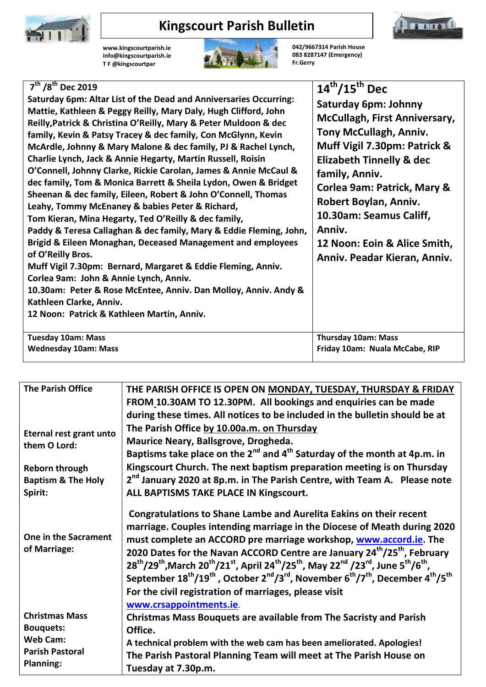

## **Kingscourt Parish Bulletin**

**www.kingscourtparish.ie info@kingscourtparish.ie T F @kingscourtpar**



**042/9667314 Parish House 083 8287147 (Emergency) Fr.Gerry**

**Immon** 

| $7^{th}$ /8 <sup>th</sup> Dec 2019<br>Saturday 6pm: Altar List of the Dead and Anniversaries Occurring:<br>Mattie, Kathleen & Peggy Reilly, Mary Daly, Hugh Clifford, John<br>Reilly, Patrick & Christina O'Reilly, Mary & Peter Muldoon & dec<br>family, Kevin & Patsy Tracey & dec family, Con McGlynn, Kevin<br>McArdle, Johnny & Mary Malone & dec family, PJ & Rachel Lynch,<br>Charlie Lynch, Jack & Annie Hegarty, Martin Russell, Roisin<br>O'Connell, Johnny Clarke, Rickie Carolan, James & Annie McCaul &                                                                                                                                        | $14^{\text{th}}/15^{\text{th}}$ Dec<br><b>Saturday 6pm: Johnny</b><br><b>McCullagh, First Anniversary,</b><br>Tony McCullagh, Anniv.<br>Muff Vigil 7.30pm: Patrick &<br><b>Elizabeth Tinnelly &amp; dec</b> |
|-------------------------------------------------------------------------------------------------------------------------------------------------------------------------------------------------------------------------------------------------------------------------------------------------------------------------------------------------------------------------------------------------------------------------------------------------------------------------------------------------------------------------------------------------------------------------------------------------------------------------------------------------------------|-------------------------------------------------------------------------------------------------------------------------------------------------------------------------------------------------------------|
| dec family, Tom & Monica Barrett & Sheila Lydon, Owen & Bridget<br>Sheenan & dec family, Eileen, Robert & John O'Connell, Thomas<br>Leahy, Tommy McEnaney & babies Peter & Richard,<br>Tom Kieran, Mina Hegarty, Ted O'Reilly & dec family,<br>Paddy & Teresa Callaghan & dec family, Mary & Eddie Fleming, John,<br>Brigid & Eileen Monaghan, Deceased Management and employees<br>of O'Reilly Bros.<br>Muff Vigil 7.30pm: Bernard, Margaret & Eddie Fleming, Anniv.<br>Corlea 9am: John & Annie Lynch, Anniv.<br>10.30am: Peter & Rose McEntee, Anniv. Dan Molloy, Anniv. Andy &<br>Kathleen Clarke, Anniv.<br>12 Noon: Patrick & Kathleen Martin, Anniv. | family, Anniv.<br>Corlea 9am: Patrick, Mary &<br>Robert Boylan, Anniv.<br>10.30am: Seamus Califf,<br>Anniv.<br>12 Noon: Eoin & Alice Smith,<br>Anniv. Peadar Kieran, Anniv.                                 |
| <b>Tuesday 10am: Mass</b><br><b>Wednesday 10am: Mass</b>                                                                                                                                                                                                                                                                                                                                                                                                                                                                                                                                                                                                    | <b>Thursday 10am: Mass</b><br>Friday 10am: Nuala McCabe, RIP                                                                                                                                                |
|                                                                                                                                                                                                                                                                                                                                                                                                                                                                                                                                                                                                                                                             |                                                                                                                                                                                                             |

| <b>The Parish Office</b>             | THE PARISH OFFICE IS OPEN ON MONDAY, TUESDAY, THURSDAY & FRIDAY                                                                                                                 |
|--------------------------------------|---------------------------------------------------------------------------------------------------------------------------------------------------------------------------------|
|                                      | FROM 10.30AM TO 12.30PM. All bookings and enquiries can be made                                                                                                                 |
|                                      | during these times. All notices to be included in the bulletin should be at                                                                                                     |
| Eternal rest grant unto              | The Parish Office by 10.00a.m. on Thursday                                                                                                                                      |
| them O Lord:                         | Maurice Neary, Ballsgrove, Drogheda.                                                                                                                                            |
|                                      | Baptisms take place on the 2 <sup>nd</sup> and 4 <sup>th</sup> Saturday of the month at 4p.m. in                                                                                |
| <b>Reborn through</b>                | Kingscourt Church. The next baptism preparation meeting is on Thursday                                                                                                          |
| <b>Baptism &amp; The Holy</b>        | 2 <sup>nd</sup> January 2020 at 8p.m. in The Parish Centre, with Team A. Please note                                                                                            |
| Spirit:                              | ALL BAPTISMS TAKE PLACE IN Kingscourt.                                                                                                                                          |
|                                      |                                                                                                                                                                                 |
|                                      | <b>Congratulations to Shane Lambe and Aurelita Eakins on their recent</b>                                                                                                       |
|                                      | marriage. Couples intending marriage in the Diocese of Meath during 2020                                                                                                        |
| One in the Sacrament<br>of Marriage: | must complete an ACCORD pre marriage workshop, www.accord.ie. The                                                                                                               |
|                                      | 2020 Dates for the Navan ACCORD Centre are January 24 <sup>th</sup> /25 <sup>th</sup> , February                                                                                |
|                                      | $28^{th}/29^{th}$ , March $20^{th}/21^{st}$ , April $24^{th}/25^{th}$ , May $22^{nd}/23^{rd}$ , June $5^{th}/6^{th}$ ,                                                          |
|                                      | September 18 <sup>th</sup> /19 <sup>th</sup> , October 2 <sup>nd</sup> /3 <sup>rd</sup> , November 6 <sup>th</sup> /7 <sup>th</sup> , December 4 <sup>th</sup> /5 <sup>th</sup> |
|                                      | For the civil registration of marriages, please visit                                                                                                                           |
|                                      | www.crsappointments.ie.                                                                                                                                                         |
| <b>Christmas Mass</b>                | <b>Christmas Mass Bouquets are available from The Sacristy and Parish</b>                                                                                                       |
| <b>Bouquets:</b>                     | Office.                                                                                                                                                                         |
| <b>Web Cam:</b>                      | A technical problem with the web cam has been ameliorated. Apologies!                                                                                                           |
| <b>Parish Pastoral</b>               | The Parish Pastoral Planning Team will meet at The Parish House on                                                                                                              |
| <b>Planning:</b>                     | Tuesday at 7.30p.m.                                                                                                                                                             |